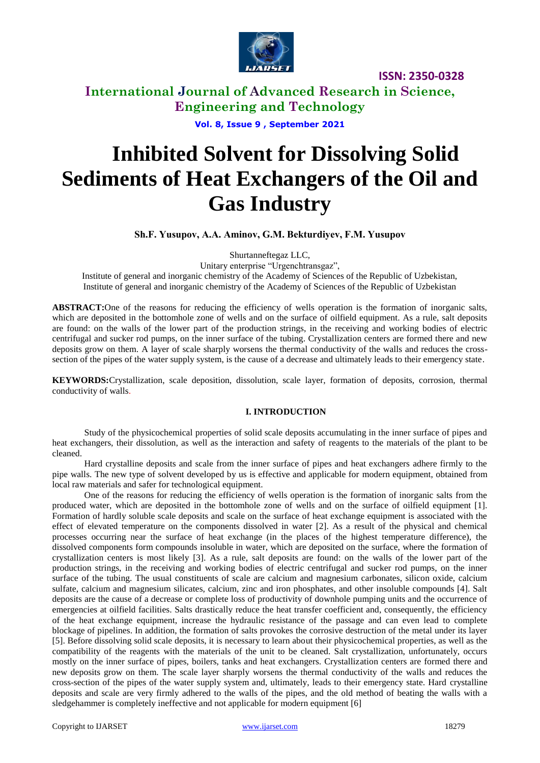

**International Journal of Advanced Research in Science, Engineering and Technology**

**Vol. 8, Issue 9 , September 2021**

# **Inhibited Solvent for Dissolving Solid Sediments of Heat Exchangers of the Oil and Gas Industry**

**Sh.F. Yusupov, А.А. Аminov, G.M. Bekturdiyev, F.M. Yusupov**

Shurtanneftegaz LLC,

Unitary enterprise "Urgenchtransgaz",

Institute of general and inorganic chemistry of the Academy of Sciences of the Republic of Uzbekistan, Institute of general and inorganic chemistry of the Academy of Sciences of the Republic of Uzbekistan

**ABSTRACT:**One of the reasons for reducing the efficiency of wells operation is the formation of inorganic salts, which are deposited in the bottomhole zone of wells and on the surface of oilfield equipment. As a rule, salt deposits are found: on the walls of the lower part of the production strings, in the receiving and working bodies of electric centrifugal and sucker rod pumps, on the inner surface of the tubing. Crystallization centers are formed there and new deposits grow on them. A layer of scale sharply worsens the thermal conductivity of the walls and reduces the crosssection of the pipes of the water supply system, is the cause of a decrease and ultimately leads to their emergency state.

**KEYWORDS:**Crystallization, scale deposition, dissolution, scale layer, formation of deposits, corrosion, thermal conductivity of walls.

### **I. INTRODUCTION**

Study of the physicochemical properties of solid scale deposits accumulating in the inner surface of pipes and heat exchangers, their dissolution, as well as the interaction and safety of reagents to the materials of the plant to be cleaned.

Hard crystalline deposits and scale from the inner surface of pipes and heat exchangers adhere firmly to the pipe walls. The new type of solvent developed by us is effective and applicable for modern equipment, obtained from local raw materials and safer for technological equipment.

One of the reasons for reducing the efficiency of wells operation is the formation of inorganic salts from the produced water, which are deposited in the bottomhole zone of wells and on the surface of oilfield equipment [1]. Formation of hardly soluble scale deposits and scale on the surface of heat exchange equipment is associated with the effect of elevated temperature on the components dissolved in water [2]. As a result of the physical and chemical processes occurring near the surface of heat exchange (in the places of the highest temperature difference), the dissolved components form compounds insoluble in water, which are deposited on the surface, where the formation of crystallization centers is most likely [3]. As a rule, salt deposits are found: on the walls of the lower part of the production strings, in the receiving and working bodies of electric centrifugal and sucker rod pumps, on the inner surface of the tubing. The usual constituents of scale are calcium and magnesium carbonates, silicon oxide, calcium sulfate, calcium and magnesium silicates, calcium, zinc and iron phosphates, and other insoluble compounds [4]. Salt deposits are the cause of a decrease or complete loss of productivity of downhole pumping units and the occurrence of emergencies at oilfield facilities. Salts drastically reduce the heat transfer coefficient and, consequently, the efficiency of the heat exchange equipment, increase the hydraulic resistance of the passage and can even lead to complete blockage of pipelines. In addition, the formation of salts provokes the corrosive destruction of the metal under its layer [5]. Before dissolving solid scale deposits, it is necessary to learn about their physicochemical properties, as well as the compatibility of the reagents with the materials of the unit to be cleaned. Salt crystallization, unfortunately, occurs mostly on the inner surface of pipes, boilers, tanks and heat exchangers. Crystallization centers are formed there and new deposits grow on them. The scale layer sharply worsens the thermal conductivity of the walls and reduces the cross-section of the pipes of the water supply system and, ultimately, leads to their emergency state. Hard crystalline deposits and scale are very firmly adhered to the walls of the pipes, and the old method of beating the walls with a sledgehammer is completely ineffective and not applicable for modern equipment [6]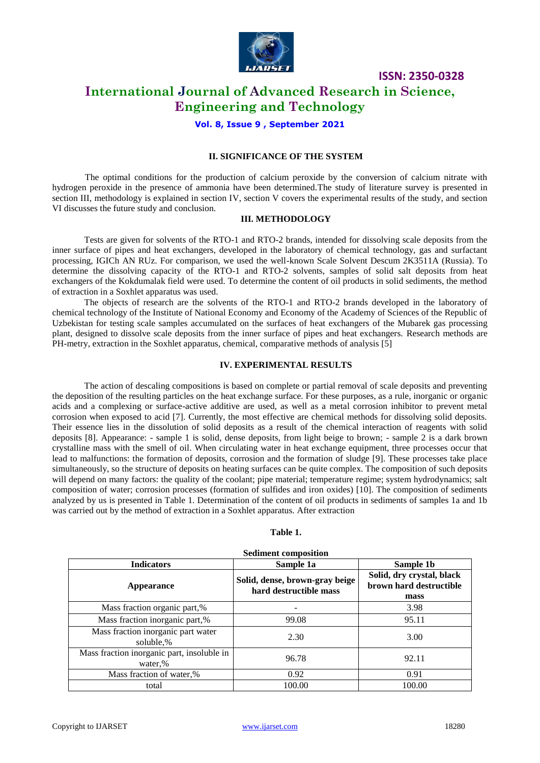

### **International Journal of Advanced Research in Science, Engineering and Technology**

**Vol. 8, Issue 9 , September 2021**

### **II. SIGNIFICANCE OF THE SYSTEM**

The optimal conditions for the production of calcium peroxide by the conversion of calcium nitrate with hydrogen peroxide in the presence of ammonia have been determined.The study of literature survey is presented in section III, methodology is explained in section IV, section V covers the experimental results of the study, and section VI discusses the future study and conclusion.

### **III. METHODOLOGY**

Tests are given for solvents of the RTO-1 and RTO-2 brands, intended for dissolving scale deposits from the inner surface of pipes and heat exchangers, developed in the laboratory of chemical technology, gas and surfactant processing, IGICh AN RUz. For comparison, we used the well-known Scale Solvent Descum 2K3511A (Russia). To determine the dissolving capacity of the RTO-1 and RTO-2 solvents, samples of solid salt deposits from heat exchangers of the Kokdumalak field were used. To determine the content of oil products in solid sediments, the method of extraction in a Soxhlet apparatus was used.

The objects of research are the solvents of the RTO-1 and RTO-2 brands developed in the laboratory of chemical technology of the Institute of National Economy and Economy of the Academy of Sciences of the Republic of Uzbekistan for testing scale samples accumulated on the surfaces of heat exchangers of the Mubarek gas processing plant, designed to dissolve scale deposits from the inner surface of pipes and heat exchangers. Research methods are PH-metry, extraction in the Soxhlet apparatus, chemical, comparative methods of analysis [5]

### **IV. EXPERIMENTAL RESULTS**

The action of descaling compositions is based on complete or partial removal of scale deposits and preventing the deposition of the resulting particles on the heat exchange surface. For these purposes, as a rule, inorganic or organic acids and a complexing or surface-active additive are used, as well as a metal corrosion inhibitor to prevent metal corrosion when exposed to acid [7]. Currently, the most effective are chemical methods for dissolving solid deposits. Their essence lies in the dissolution of solid deposits as a result of the chemical interaction of reagents with solid deposits [8]. Appearance: - sample 1 is solid, dense deposits, from light beige to brown; - sample 2 is a dark brown crystalline mass with the smell of oil. When circulating water in heat exchange equipment, three processes occur that lead to malfunctions: the formation of deposits, corrosion and the formation of sludge [9]. These processes take place simultaneously, so the structure of deposits on heating surfaces can be quite complex. The composition of such deposits will depend on many factors: the quality of the coolant; pipe material; temperature regime; system hydrodynamics; salt composition of water; corrosion processes (formation of sulfides and iron oxides) [10]. The composition of sediments analyzed by us is presented in Table 1. Determination of the content of oil products in sediments of samples 1a and 1b was carried out by the method of extraction in a Soxhlet apparatus. After extraction

### **Table 1.**

| <b>Indicators</b>                                     | Sample 1a                                                | Sample 1b                                                    |  |
|-------------------------------------------------------|----------------------------------------------------------|--------------------------------------------------------------|--|
| Appearance                                            | Solid, dense, brown-gray beige<br>hard destructible mass | Solid, dry crystal, black<br>brown hard destructible<br>mass |  |
| Mass fraction organic part,%                          |                                                          | 3.98                                                         |  |
| Mass fraction inorganic part,%                        | 99.08                                                    | 95.11                                                        |  |
| Mass fraction inorganic part water<br>soluble,%       | 2.30                                                     | 3.00                                                         |  |
| Mass fraction inorganic part, insoluble in<br>water,% | 96.78                                                    | 92.11                                                        |  |
| Mass fraction of water,%                              | 0.92                                                     | 0.91                                                         |  |
| total                                                 | 100.00                                                   | 100.00                                                       |  |

#### **Sediment composition**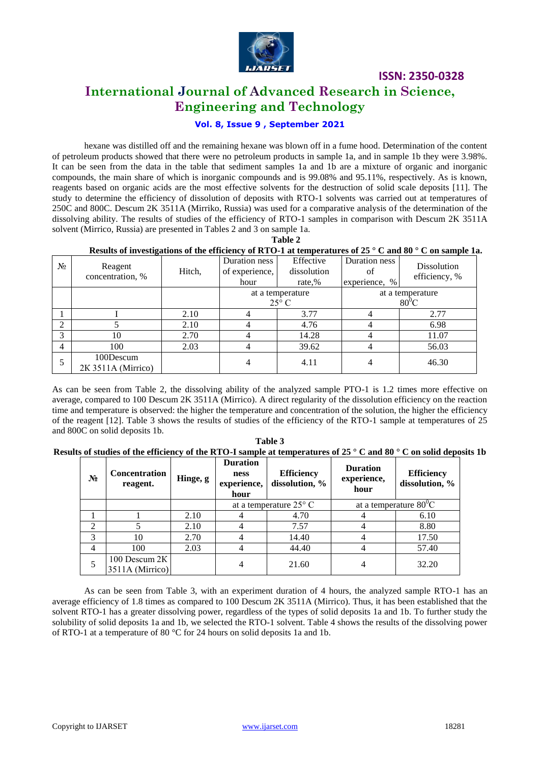

### **International Journal of Advanced Research in Science, Engineering and Technology**

### **Vol. 8, Issue 9 , September 2021**

hexane was distilled off and the remaining hexane was blown off in a fume hood. Determination of the content of petroleum products showed that there were no petroleum products in sample 1a, and in sample 1b they were 3.98%. It can be seen from the data in the table that sediment samples 1a and 1b are a mixture of organic and inorganic compounds, the main share of which is inorganic compounds and is 99.08% and 95.11%, respectively. As is known, reagents based on organic acids are the most effective solvents for the destruction of solid scale deposits [11]. The study to determine the efficiency of dissolution of deposits with RTO-1 solvents was carried out at temperatures of 250C and 800C. Descum 2K 3511A (Mirriko, Russia) was used for a comparative analysis of the determination of the dissolving ability. The results of studies of the efficiency of RTO-1 samples in comparison with Descum 2K 3511A solvent (Mirrico, Russia) are presented in Tables 2 and 3 on sample 1a.

**Table 2**

### **Results of investigations of the efficiency of RTO-1 at temperatures of 25 ° C and 80 ° C on sample 1a.**

| $N_2$    | . <b>. .</b><br>Reagent<br>concentration, % | Hitch, | Duration ness<br>of experience,<br>hour | Effective<br>dissolution<br>rate,% | Duration ness<br>ΟĪ<br>experience, % | Dissolution<br>efficiency, % |
|----------|---------------------------------------------|--------|-----------------------------------------|------------------------------------|--------------------------------------|------------------------------|
|          |                                             |        | at a temperature<br>$25^{\circ}$ C      |                                    | at a temperature<br>$80^{\circ}$ C   |                              |
|          |                                             | 2.10   |                                         | 3.77                               |                                      | 2.77                         |
| $\gamma$ |                                             | 2.10   |                                         | 4.76                               |                                      | 6.98                         |
| 3        | 10                                          | 2.70   |                                         | 14.28                              |                                      | 11.07                        |
| 4        | 100                                         | 2.03   |                                         | 39.62                              |                                      | 56.03                        |
|          | 100Descum<br>2K 3511A (Mirrico)             |        | 4                                       | 4.11                               |                                      | 46.30                        |

As can be seen from Table 2, the dissolving ability of the analyzed sample PTO-1 is 1.2 times more effective on average, compared to 100 Descum 2K 3511A (Mirrico). A direct regularity of the dissolution efficiency on the reaction time and temperature is observed: the higher the temperature and concentration of the solution, the higher the efficiency of the reagent [12]. Table 3 shows the results of studies of the efficiency of the RTO-1 sample at temperatures of 25 and 800C on solid deposits 1b.

|                                                                                                                                    | Table 3 |  |  |
|------------------------------------------------------------------------------------------------------------------------------------|---------|--|--|
| Results of studies of the efficiency of the RTO-I sample at temperatures of 25 $\degree$ C and 80 $\degree$ C on solid deposits 1b |         |  |  |

| $N_2$          | <b>Concentration</b><br>reagent.   | Hinge, g | <b>Duration</b><br>ness<br>experience,<br>hour | <b>Efficiency</b><br>dissolution, % | <b>Duration</b><br>experience,<br>hour | <b>Efficiency</b><br>dissolution, % |
|----------------|------------------------------------|----------|------------------------------------------------|-------------------------------------|----------------------------------------|-------------------------------------|
|                |                                    |          | at a temperature $25^{\circ}$ C                |                                     |                                        | at a temperature $80^0C$            |
|                |                                    | 2.10     |                                                | 4.70                                |                                        | 6.10                                |
| $\overline{2}$ |                                    | 2.10     |                                                | 7.57                                |                                        | 8.80                                |
| 3              | 10                                 | 2.70     |                                                | 14.40                               |                                        | 17.50                               |
| 4              | 100                                | 2.03     |                                                | 44.40                               | 4                                      | 57.40                               |
| 5              | 100 Descum $2K$<br>3511A (Mirrico) |          |                                                | 21.60                               |                                        | 32.20                               |

As can be seen from Table 3, with an experiment duration of 4 hours, the analyzed sample RTO-1 has an average efficiency of 1.8 times as compared to 100 Descum 2K 3511A (Mirrico). Thus, it has been established that the solvent RTO-1 has a greater dissolving power, regardless of the types of solid deposits 1a and 1b. To further study the solubility of solid deposits 1a and 1b, we selected the RTO-1 solvent. Table 4 shows the results of the dissolving power of RTO-1 at a temperature of 80 °C for 24 hours on solid deposits 1a and 1b.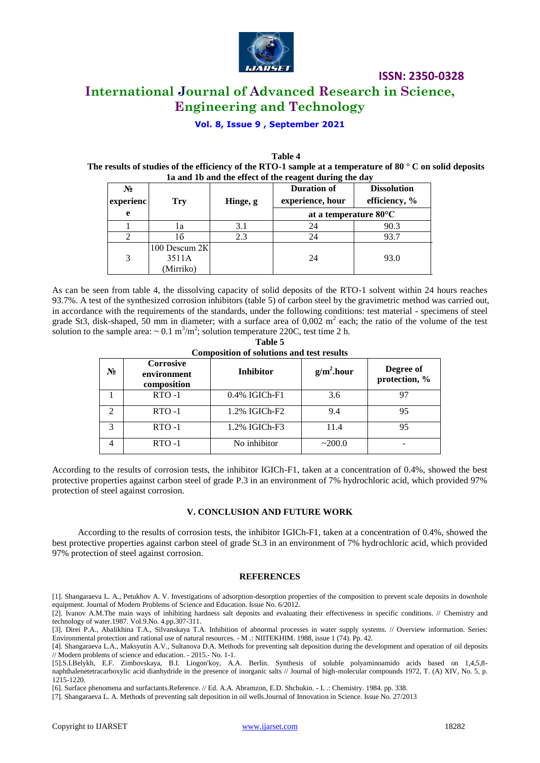

## **ISSN: 2350-0328 International Journal of Advanced Research in Science, Engineering and Technology**

### **Vol. 8, Issue 9 , September 2021**

**Table 4 The results of studies of the efficiency of the RTO-1 sample at a temperature of 80 ° C on solid deposits 1a and 1b and the effect of the reagent during the day**

| Ta and To and the effect of the reagent during the day |                                     |          |                                        |                                     |  |
|--------------------------------------------------------|-------------------------------------|----------|----------------------------------------|-------------------------------------|--|
| $N_2$<br>experienc                                     | <b>Try</b>                          | Hinge, g | <b>Duration of</b><br>experience, hour | <b>Dissolution</b><br>efficiency, % |  |
| e                                                      |                                     |          | at a temperature $80^{\circ}$ C        |                                     |  |
|                                                        | l a                                 | 3.1      | 24                                     | 90.3                                |  |
|                                                        | 16                                  | 2.3      | 24                                     | 93.7                                |  |
| 3                                                      | 100 Descum 2K<br>3511A<br>(Mirriko) |          | 24                                     | 93.0                                |  |

As can be seen from table 4, the dissolving capacity of solid deposits of the RTO-1 solvent within 24 hours reaches 93.7%. A test of the synthesized corrosion inhibitors (table 5) of carbon steel by the gravimetric method was carried out, in accordance with the requirements of the standards, under the following conditions: test material - specimens of steel grade St3, disk-shaped, 50 mm in diameter; with a surface area of  $0,002$  m<sup>2</sup> each; the ratio of the volume of the test solution to the sample area:  $\sim 0.1 \text{ m}^3/\text{m}^2$ ; solution temperature 220C, test time 2 h.

| <b>Composition of solutions and test results</b> |                                                |                  |              |                            |  |
|--------------------------------------------------|------------------------------------------------|------------------|--------------|----------------------------|--|
| $N_2$                                            | <b>Corrosive</b><br>environment<br>composition | <b>Inhibitor</b> | $g/m2$ .hour | Degree of<br>protection, % |  |
|                                                  | $RTO-1$                                        | $0.4\%$ IGICh-F1 | 3.6          | 97                         |  |
| $\mathcal{D}_{\mathcal{A}}$                      | $RTO-1$                                        | 1.2% IGICh-F2    | 9.4          | 95                         |  |
| $\mathcal{R}$                                    | $RTO-1$                                        | 1.2% IGICh-F3    | 11.4         | 95                         |  |
|                                                  | $RTO-1$                                        | No inhibitor     | ~200.0       |                            |  |

**Table 5**

According to the results of corrosion tests, the inhibitor IGICh-F1, taken at a concentration of 0.4%, showed the best protective properties against carbon steel of grade P.3 in an environment of 7% hydrochloric acid, which provided 97% protection of steel against corrosion.

#### **V. CONCLUSION AND FUTURE WORK**

According to the results of corrosion tests, the inhibitor IGICh-F1, taken at a concentration of 0.4%, showed the best protective properties against carbon steel of grade St.3 in an environment of 7% hydrochloric acid, which provided 97% protection of steel against corrosion.

### **REFERENCES**

[1]. Shangaraeva L. A., Petukhov A. V. Investigations of adsorption-desorption properties of the composition to prevent scale deposits in downhole equipment. Journal of Modern Problems of Science and Education. Issue No. 6/2012.

[2]. Ivanov A.M.The main ways of inhibiting hardness salt deposits and evaluating their effectiveness in specific conditions. // Chemistry and technology of water.1987. Vol.9.No. 4.pp.307-311.

[3]. Direi P.A., Abalikhina T.A., Silvanskaya T.A. Inhibition of abnormal processes in water supply systems. // Overview information. Series: Environmental protection and rational use of natural resources. - M .: NIITEKHIM. 1988, issue 1 (74). Pp. 42.

[4]. Shangaraeva L.A., Maksyutin A.V., Sultanova D.A. Methods for preventing salt deposition during the development and operation of oil deposits // Modern problems of science and education. - 2015.- No. 1-1.

[5].S.I.Belykh, E.F. Zimbovskaya, B.I. Liogon'koy, A.A. Berlin. Synthesis of soluble polyaminoamido acids based on 1,4,5,8 naphthalenetetracarboxylic acid dianhydride in the presence of inorganic salts // Journal of high-molecular compounds 1972, T. (A) XIV, No. 5, p. 1215-1220.

[6]. Surface phenomena and surfactants.Reference. // Ed. A.A. Abramzon, E.D. Shchukin. - L .: Chemistry. 1984. pp. 338.

[7]. Shangaraeva L. A. Methods of preventing salt deposition in oil wells.Journal of Innovation in Science. Issue No. 27/2013